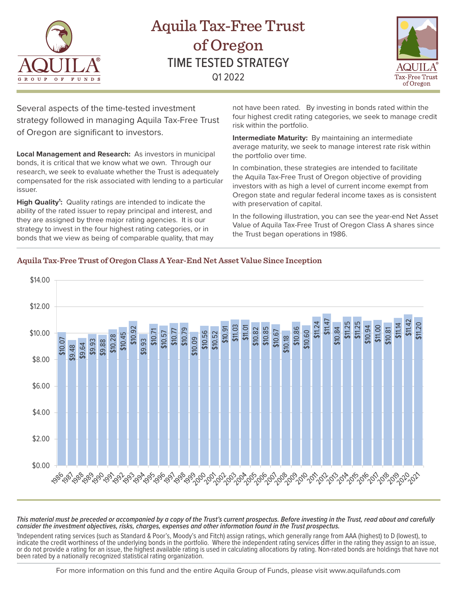

# Aquila Tax-Free Trust of Oregon TIME TESTED STRATEGY Q1 2022



Several aspects of the time-tested investment strategy followed in managing Aquila Tax-Free Trust of Oregon are significant to investors.

**Local Management and Research:** As investors in municipal bonds, it is critical that we know what we own. Through our research, we seek to evaluate whether the Trust is adequately compensated for the risk associated with lending to a particular issuer.

High Quality<sup>1</sup>: Quality ratings are intended to indicate the ability of the rated issuer to repay principal and interest, and they are assigned by three major rating agencies. It is our strategy to invest in the four highest rating categories, or in bonds that we view as being of comparable quality, that may

not have been rated. By investing in bonds rated within the four highest credit rating categories, we seek to manage credit risk within the portfolio.

**Intermediate Maturity:** By maintaining an intermediate average maturity, we seek to manage interest rate risk within the portfolio over time.

In combination, these strategies are intended to facilitate the Aquila Tax-Free Trust of Oregon objective of providing investors with as high a level of current income exempt from Oregon state and regular federal income taxes as is consistent with preservation of capital.

In the following illustration, you can see the year-end Net Asset Value of Aquila Tax-Free Trust of Oregon Class A shares since the Trust began operations in 1986.



### **Aquila Tax-Free Trust of Oregon Class A Year-End Net Asset Value Since Inception**

*This material must be preceded or accompanied by a copy of the Trust's current prospectus. Before investing in the Trust, read about and carefully consider the investment objectives, risks, charges, expenses and other information found in the Trust prospectus.* 

1 Independent rating services (such as Standard & Poor's, Moody's and Fitch) assign ratings, which generally range from AAA (highest) to D (lowest), to indicate the credit worthiness of the underlying bonds in the portfolio. Where the independent rating services differ in the rating they assign to an issue, or do not provide a rating for an issue, the highest available rating is used in calculating allocations by rating. Non-rated bonds are holdings that have not<br>been rated by a nationally recognized statistical rating organi